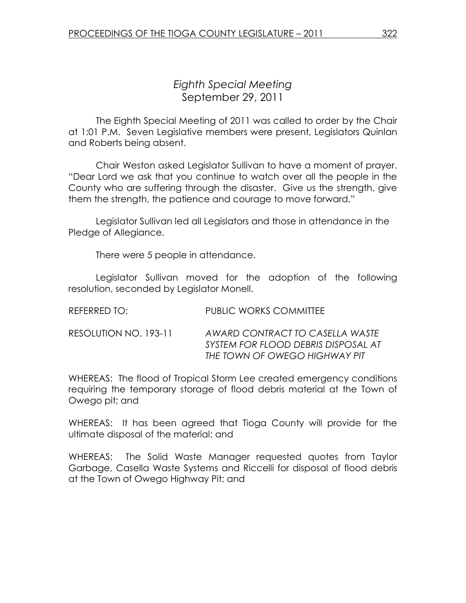## Eighth Special Meeting September 29, 2011

 The Eighth Special Meeting of 2011 was called to order by the Chair at 1:01 P.M. Seven Legislative members were present, Legislators Quinlan and Roberts being absent.

Chair Weston asked Legislator Sullivan to have a moment of prayer. "Dear Lord we ask that you continue to watch over all the people in the County who are suffering through the disaster. Give us the strength, give them the strength, the patience and courage to move forward."

 Legislator Sullivan led all Legislators and those in attendance in the Pledge of Allegiance.

There were 5 people in attendance.

 Legislator Sullivan moved for the adoption of the following resolution, seconded by Legislator Monell.

| REFERRED TO:          | <b>PUBLIC WORKS COMMITTEE</b>                                                                           |
|-----------------------|---------------------------------------------------------------------------------------------------------|
| RESOLUTION NO. 193-11 | AWARD CONTRACT TO CASELLA WASTE<br>SYSTEM FOR FLOOD DEBRIS DISPOSAL AT<br>THE TOWN OF OWEGO HIGHWAY PIT |

WHEREAS: The flood of Tropical Storm Lee created emergency conditions requiring the temporary storage of flood debris material at the Town of Owego pit; and

WHEREAS: It has been agreed that Tioga County will provide for the ultimate disposal of the material; and

WHEREAS: The Solid Waste Manager requested quotes from Taylor Garbage, Casella Waste Systems and Riccelli for disposal of flood debris at the Town of Owego Highway Pit; and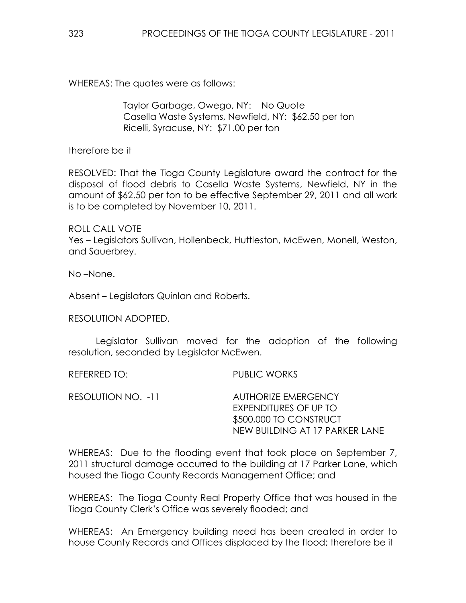WHEREAS: The quotes were as follows:

Taylor Garbage, Owego, NY: No Quote Casella Waste Systems, Newfield, NY: \$62.50 per ton Ricelli, Syracuse, NY: \$71.00 per ton

therefore be it

RESOLVED: That the Tioga County Legislature award the contract for the disposal of flood debris to Casella Waste Systems, Newfield, NY in the amount of \$62.50 per ton to be effective September 29, 2011 and all work is to be completed by November 10, 2011.

ROLL CALL VOTE Yes – Legislators Sullivan, Hollenbeck, Huttleston, McEwen, Monell, Weston, and Sauerbrey.

No –None.

Absent – Legislators Quinlan and Roberts.

RESOLUTION ADOPTED.

 Legislator Sullivan moved for the adoption of the following resolution, seconded by Legislator McEwen.

REFERRED TO: PUBLIC WORKS RESOLUTION NO. -11 AUTHORIZE EMERGENCY

 EXPENDITURES OF UP TO \$500,000 TO CONSTRUCT NEW BUILDING AT 17 PARKER LANE

WHEREAS: Due to the flooding event that took place on September 7, 2011 structural damage occurred to the building at 17 Parker Lane, which housed the Tioga County Records Management Office; and

WHEREAS: The Tioga County Real Property Office that was housed in the Tioga County Clerk's Office was severely flooded; and

WHEREAS: An Emergency building need has been created in order to house County Records and Offices displaced by the flood; therefore be it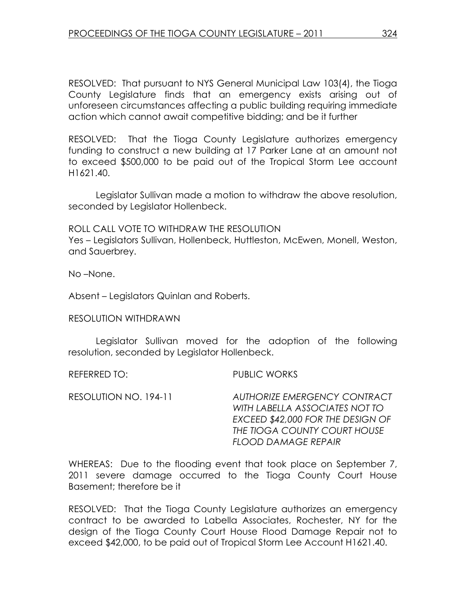RESOLVED: That pursuant to NYS General Municipal Law 103(4), the Tioga County Legislature finds that an emergency exists arising out of unforeseen circumstances affecting a public building requiring immediate action which cannot await competitive bidding; and be it further

RESOLVED: That the Tioga County Legislature authorizes emergency funding to construct a new building at 17 Parker Lane at an amount not to exceed \$500,000 to be paid out of the Tropical Storm Lee account H1621.40.

 Legislator Sullivan made a motion to withdraw the above resolution, seconded by Legislator Hollenbeck.

ROLL CALL VOTE TO WITHDRAW THE RESOLUTION Yes – Legislators Sullivan, Hollenbeck, Huttleston, McEwen, Monell, Weston, and Sauerbrey.

No –None.

Absent – Legislators Quinlan and Roberts.

RESOLUTION WITHDRAWN

 Legislator Sullivan moved for the adoption of the following resolution, seconded by Legislator Hollenbeck.

REFERRED TO: PUBLIC WORKS

| RESOLUTION NO. 194-11 | <b>AUTHORIZE EMERGENCY CONTRACT</b> |
|-----------------------|-------------------------------------|
|                       | WITH LABELLA ASSOCIATES NOT TO      |
|                       | EXCEED \$42,000 FOR THE DESIGN OF   |
|                       | THE TIOGA COUNTY COURT HOUSE        |
|                       | <b>FLOOD DAMAGE REPAIR</b>          |

WHEREAS: Due to the flooding event that took place on September 7, 2011 severe damage occurred to the Tioga County Court House Basement; therefore be it

RESOLVED: That the Tioga County Legislature authorizes an emergency contract to be awarded to Labella Associates, Rochester, NY for the design of the Tioga County Court House Flood Damage Repair not to exceed \$42,000, to be paid out of Tropical Storm Lee Account H1621.40.